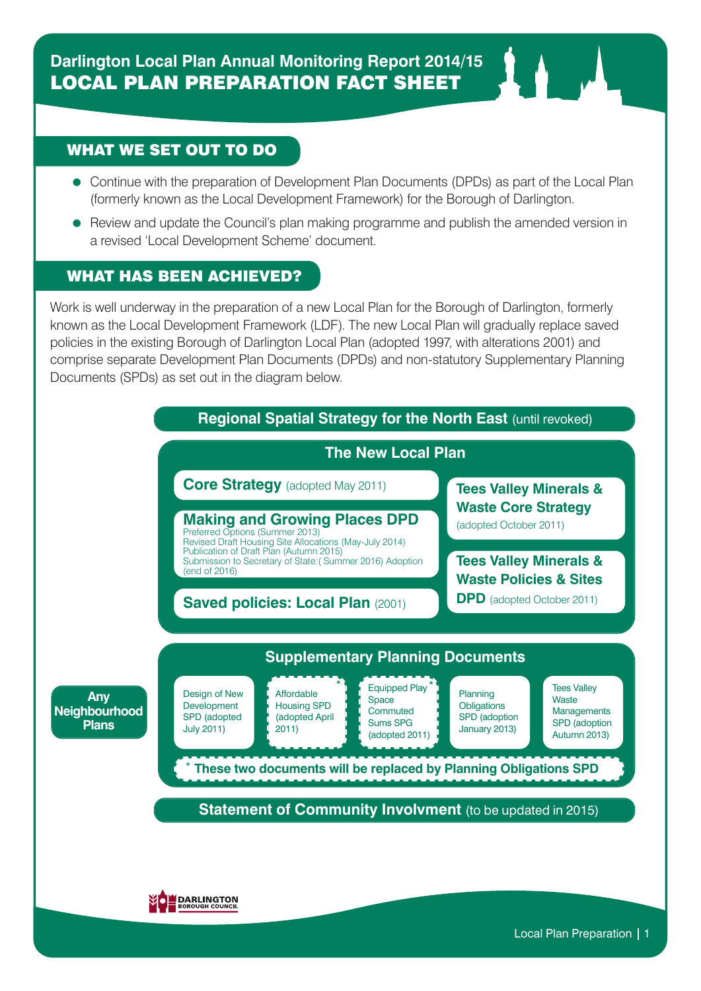## WHAT WE SET OUT TO DO WHAT WE SET OUT TO DO

- Continue with the preparation of Development Plan Documents (DPDs) as part of the Local Plan (formerly known as the Local Development Framework) for the Borough of Darlington. (formerly known as the Local Development Framework) for the Borough of Darlington.
- Review and update the Council's plan making programme and publish the amended version in a revised 'Local Development Scheme' document. revised 'Local Development Scheme' document.

## WHAT HAS BEEN ACHIEVED?

Work is well underway in the preparation of a new Local Plan for the Borough of Darlington, formerly known as the Local Development Framework (LDF). The new Local Plan will gradually replace saved policies in the existing Borough of Darlington Local Plan (adopted 1997, with alterations 2001) and comprise separate Development Plan Documents (DPDs) and non-statutory Supplementary Planning Documents (SPDs) as set out in the diagram below. WHAT HAS BEEN ACHIEVED? set out in the diagram below.

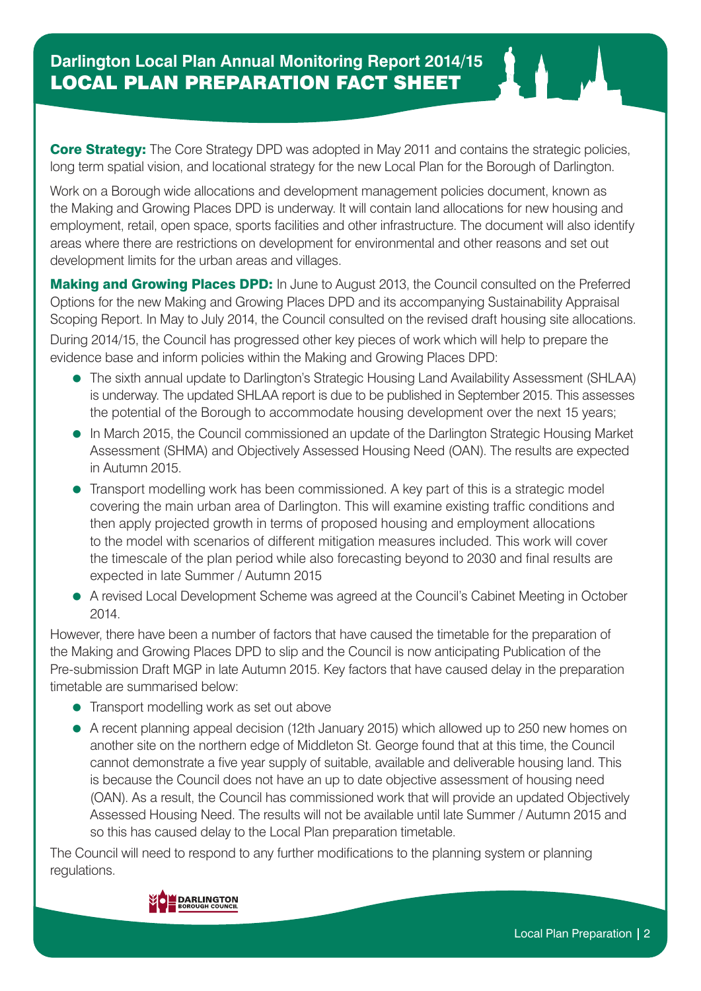**Core Strategy:** The Core Strategy DPD was adopted in May 2011 and contains the strategic policies, long term spatial vision, and locational strategy for the new Local Plan for the Borough of Darlington.

Work on a Borough wide allocations and development management policies document, known as the Making and Growing Places DPD is underway. It will contain land allocations for new housing and employment, retail, open space, sports facilities and other infrastructure. The document will also identify areas where there are restrictions on development for environmental and other reasons and set out development limits for the urban areas and villages.

**Making and Growing Places DPD:** In June to August 2013, the Council consulted on the Preferred Options for the new Making and Growing Places DPD and its accompanying Sustainability Appraisal Scoping Report. In May to July 2014, the Council consulted on the revised draft housing site allocations.

During 2014/15, the Council has progressed other key pieces of work which will help to prepare the evidence base and inform policies within the Making and Growing Places DPD:

- The sixth annual update to Darlington's Strategic Housing Land Availability Assessment (SHLAA) is underway. The updated SHLAA report is due to be published in September 2015. This assesses the potential of the Borough to accommodate housing development over the next 15 years;
- In March 2015, the Council commissioned an update of the Darlington Strategic Housing Market Assessment (SHMA) and Objectively Assessed Housing Need (OAN). The results are expected in Autumn 2015.
- Transport modelling work has been commissioned. A key part of this is a strategic model covering the main urban area of Darlington. This will examine existing traffic conditions and then apply projected growth in terms of proposed housing and employment allocations to the model with scenarios of different mitigation measures included. This work will cover the timescale of the plan period while also forecasting beyond to 2030 and final results are expected in late Summer / Autumn 2015
- A revised Local Development Scheme was agreed at the Council's Cabinet Meeting in October 2014.

However, there have been a number of factors that have caused the timetable for the preparation of the Making and Growing Places DPD to slip and the Council is now anticipating Publication of the Pre-submission Draft MGP in late Autumn 2015. Key factors that have caused delay in the preparation timetable are summarised below:

- Transport modelling work as set out above
- A recent planning appeal decision (12th January 2015) which allowed up to 250 new homes on another site on the northern edge of Middleton St. George found that at this time, the Council cannot demonstrate a five year supply of suitable, available and deliverable housing land. This is because the Council does not have an up to date objective assessment of housing need (OAN). As a result, the Council has commissioned work that will provide an updated Objectively Assessed Housing Need. The results will not be available until late Summer / Autumn 2015 and so this has caused delay to the Local Plan preparation timetable.

The Council will need to respond to any further modifications to the planning system or planning regulations.